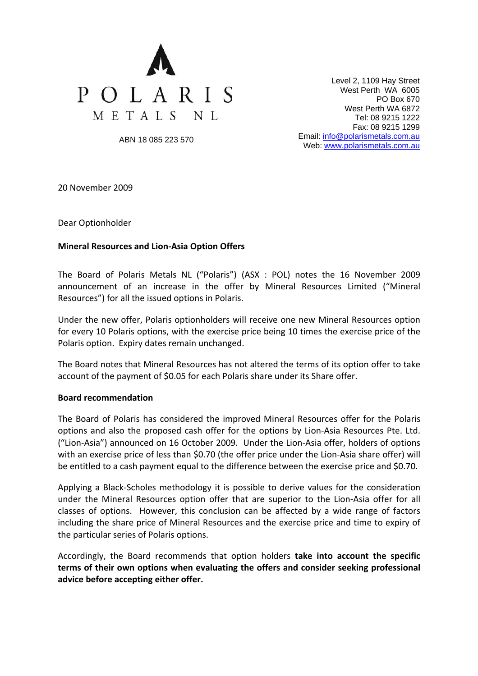

Level 2, 1109 Hay Street West Perth WA 6005 PO Box 670 West Perth WA 6872 Tel: 08 9215 1222 Fax: 08 9215 1299 Email: [info@polarismetals.com.au](mailto:info@polarismetals.com.au) Web: [www.polarismetals.com.au](http://www.polarismetals.com.au/)

ABN 18 085 223 570

20 November 2009

Dear Optionholder

## **Mineral Resources and Lion‐Asia Option Offers**

The Board of Polaris Metals NL ("Polaris") (ASX : POL) notes the 16 November 2009 announcement of an increase in the offer by Mineral Resources Limited ("Mineral Resources") for all the issued options in Polaris.

Under the new offer, Polaris optionholders will receive one new Mineral Resources option for every 10 Polaris options, with the exercise price being 10 times the exercise price of the Polaris option. Expiry dates remain unchanged.

The Board notes that Mineral Resources has not altered the terms of its option offer to take account of the payment of \$0.05 for each Polaris share under its Share offer.

## **Board recommendation**

The Board of Polaris has considered the improved Mineral Resources offer for the Polaris options and also the proposed cash offer for the options by Lion‐Asia Resources Pte. Ltd. ("Lion‐Asia") announced on 16 October 2009. Under the Lion‐Asia offer, holders of options with an exercise price of less than \$0.70 (the offer price under the Lion‐Asia share offer) will be entitled to a cash payment equal to the difference between the exercise price and \$0.70.

Applying a Black‐Scholes methodology it is possible to derive values for the consideration under the Mineral Resources option offer that are superior to the Lion‐Asia offer for all classes of options. However, this conclusion can be affected by a wide range of factors including the share price of Mineral Resources and the exercise price and time to expiry of the particular series of Polaris options.

Accordingly, the Board recommends that option holders **take into account the specific terms of their own options when evaluating the offers and consider seeking professional advice before accepting either offer.**